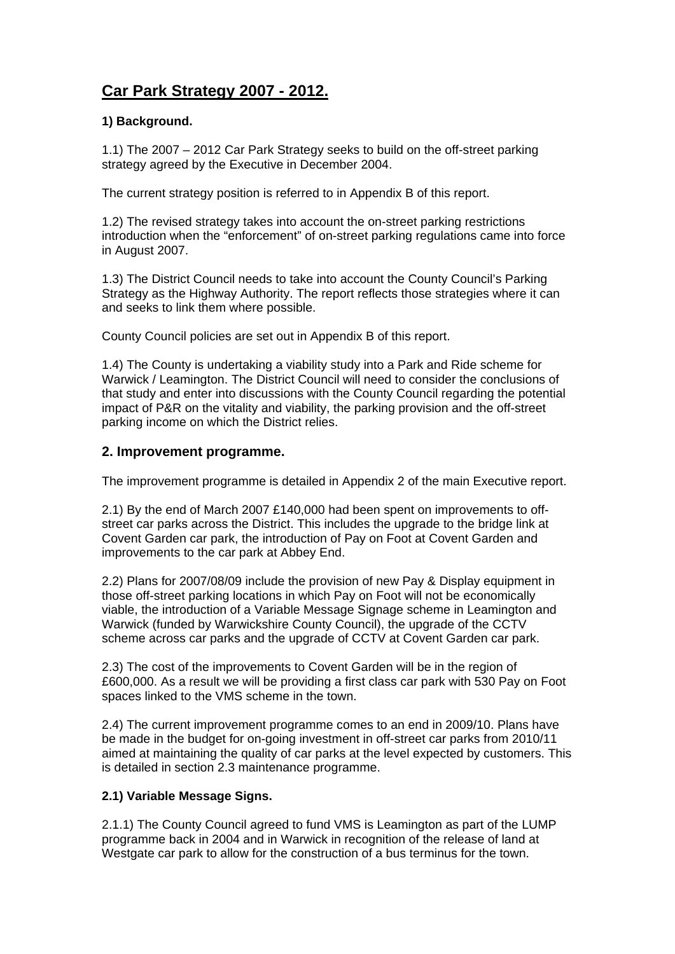# **Car Park Strategy 2007 - 2012.**

## **1) Background.**

1.1) The 2007 – 2012 Car Park Strategy seeks to build on the off-street parking strategy agreed by the Executive in December 2004.

The current strategy position is referred to in Appendix B of this report.

1.2) The revised strategy takes into account the on-street parking restrictions introduction when the "enforcement" of on-street parking regulations came into force in August 2007.

1.3) The District Council needs to take into account the County Council's Parking Strategy as the Highway Authority. The report reflects those strategies where it can and seeks to link them where possible.

County Council policies are set out in Appendix B of this report.

1.4) The County is undertaking a viability study into a Park and Ride scheme for Warwick / Leamington. The District Council will need to consider the conclusions of that study and enter into discussions with the County Council regarding the potential impact of P&R on the vitality and viability, the parking provision and the off-street parking income on which the District relies.

## **2. Improvement programme.**

The improvement programme is detailed in Appendix 2 of the main Executive report.

2.1) By the end of March 2007 £140,000 had been spent on improvements to offstreet car parks across the District. This includes the upgrade to the bridge link at Covent Garden car park, the introduction of Pay on Foot at Covent Garden and improvements to the car park at Abbey End.

2.2) Plans for 2007/08/09 include the provision of new Pay & Display equipment in those off-street parking locations in which Pay on Foot will not be economically viable, the introduction of a Variable Message Signage scheme in Leamington and Warwick (funded by Warwickshire County Council), the upgrade of the CCTV scheme across car parks and the upgrade of CCTV at Covent Garden car park.

2.3) The cost of the improvements to Covent Garden will be in the region of £600,000. As a result we will be providing a first class car park with 530 Pay on Foot spaces linked to the VMS scheme in the town.

2.4) The current improvement programme comes to an end in 2009/10. Plans have be made in the budget for on-going investment in off-street car parks from 2010/11 aimed at maintaining the quality of car parks at the level expected by customers. This is detailed in section 2.3 maintenance programme.

### **2.1) Variable Message Signs.**

2.1.1) The County Council agreed to fund VMS is Leamington as part of the LUMP programme back in 2004 and in Warwick in recognition of the release of land at Westgate car park to allow for the construction of a bus terminus for the town.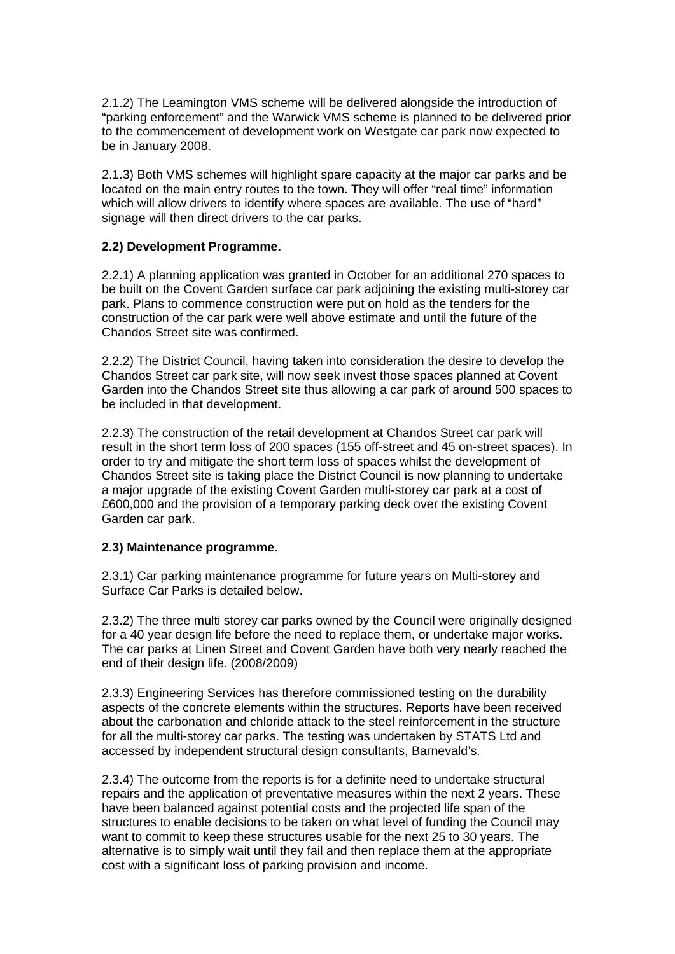2.1.2) The Leamington VMS scheme will be delivered alongside the introduction of "parking enforcement" and the Warwick VMS scheme is planned to be delivered prior to the commencement of development work on Westgate car park now expected to be in January 2008.

2.1.3) Both VMS schemes will highlight spare capacity at the major car parks and be located on the main entry routes to the town. They will offer "real time" information which will allow drivers to identify where spaces are available. The use of "hard" signage will then direct drivers to the car parks.

### **2.2) Development Programme.**

2.2.1) A planning application was granted in October for an additional 270 spaces to be built on the Covent Garden surface car park adjoining the existing multi-storey car park. Plans to commence construction were put on hold as the tenders for the construction of the car park were well above estimate and until the future of the Chandos Street site was confirmed.

2.2.2) The District Council, having taken into consideration the desire to develop the Chandos Street car park site, will now seek invest those spaces planned at Covent Garden into the Chandos Street site thus allowing a car park of around 500 spaces to be included in that development.

2.2.3) The construction of the retail development at Chandos Street car park will result in the short term loss of 200 spaces (155 off-street and 45 on-street spaces). In order to try and mitigate the short term loss of spaces whilst the development of Chandos Street site is taking place the District Council is now planning to undertake a major upgrade of the existing Covent Garden multi-storey car park at a cost of £600,000 and the provision of a temporary parking deck over the existing Covent Garden car park.

### **2.3) Maintenance programme.**

2.3.1) Car parking maintenance programme for future years on Multi-storey and Surface Car Parks is detailed below.

2.3.2) The three multi storey car parks owned by the Council were originally designed for a 40 year design life before the need to replace them, or undertake major works. The car parks at Linen Street and Covent Garden have both very nearly reached the end of their design life. (2008/2009)

2.3.3) Engineering Services has therefore commissioned testing on the durability aspects of the concrete elements within the structures. Reports have been received about the carbonation and chloride attack to the steel reinforcement in the structure for all the multi-storey car parks. The testing was undertaken by STATS Ltd and accessed by independent structural design consultants, Barnevald's.

2.3.4) The outcome from the reports is for a definite need to undertake structural repairs and the application of preventative measures within the next 2 years. These have been balanced against potential costs and the projected life span of the structures to enable decisions to be taken on what level of funding the Council may want to commit to keep these structures usable for the next 25 to 30 years. The alternative is to simply wait until they fail and then replace them at the appropriate cost with a significant loss of parking provision and income.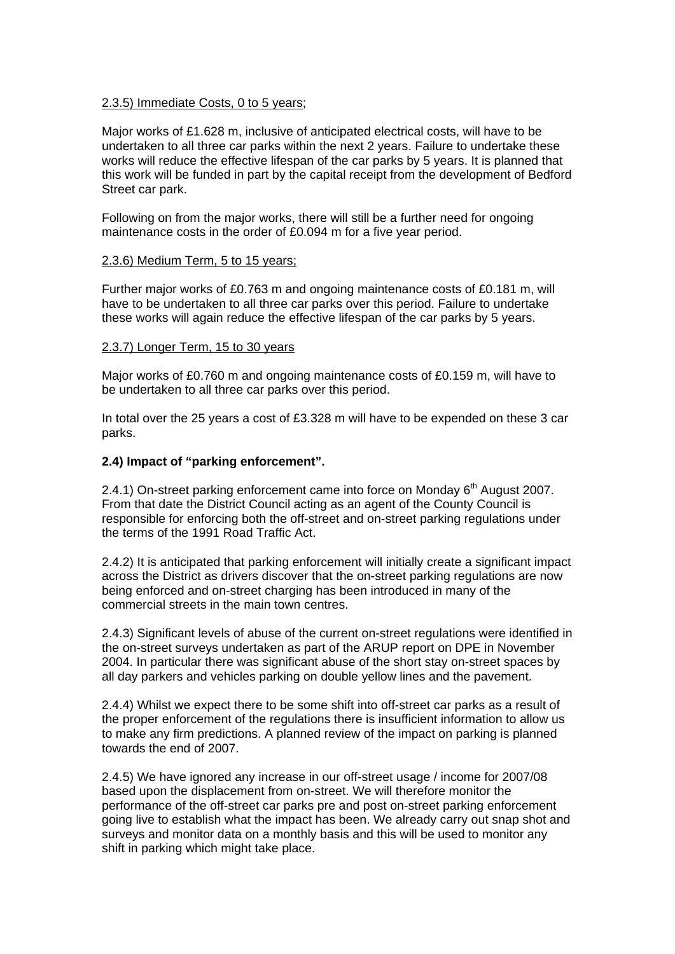#### 2.3.5) Immediate Costs, 0 to 5 years;

Major works of £1.628 m, inclusive of anticipated electrical costs, will have to be undertaken to all three car parks within the next 2 years. Failure to undertake these works will reduce the effective lifespan of the car parks by 5 years. It is planned that this work will be funded in part by the capital receipt from the development of Bedford Street car park.

Following on from the major works, there will still be a further need for ongoing maintenance costs in the order of £0.094 m for a five year period.

#### 2.3.6) Medium Term, 5 to 15 years;

Further major works of £0.763 m and ongoing maintenance costs of £0.181 m, will have to be undertaken to all three car parks over this period. Failure to undertake these works will again reduce the effective lifespan of the car parks by 5 years.

#### 2.3.7) Longer Term, 15 to 30 years

Major works of £0.760 m and ongoing maintenance costs of £0.159 m, will have to be undertaken to all three car parks over this period.

In total over the 25 years a cost of £3.328 m will have to be expended on these 3 car parks.

### **2.4) Impact of "parking enforcement".**

2.4.1) On-street parking enforcement came into force on Monday  $6<sup>th</sup>$  August 2007. From that date the District Council acting as an agent of the County Council is responsible for enforcing both the off-street and on-street parking regulations under the terms of the 1991 Road Traffic Act.

2.4.2) It is anticipated that parking enforcement will initially create a significant impact across the District as drivers discover that the on-street parking regulations are now being enforced and on-street charging has been introduced in many of the commercial streets in the main town centres.

2.4.3) Significant levels of abuse of the current on-street regulations were identified in the on-street surveys undertaken as part of the ARUP report on DPE in November 2004. In particular there was significant abuse of the short stay on-street spaces by all day parkers and vehicles parking on double yellow lines and the pavement.

2.4.4) Whilst we expect there to be some shift into off-street car parks as a result of the proper enforcement of the regulations there is insufficient information to allow us to make any firm predictions. A planned review of the impact on parking is planned towards the end of 2007.

2.4.5) We have ignored any increase in our off-street usage / income for 2007/08 based upon the displacement from on-street. We will therefore monitor the performance of the off-street car parks pre and post on-street parking enforcement going live to establish what the impact has been. We already carry out snap shot and surveys and monitor data on a monthly basis and this will be used to monitor any shift in parking which might take place.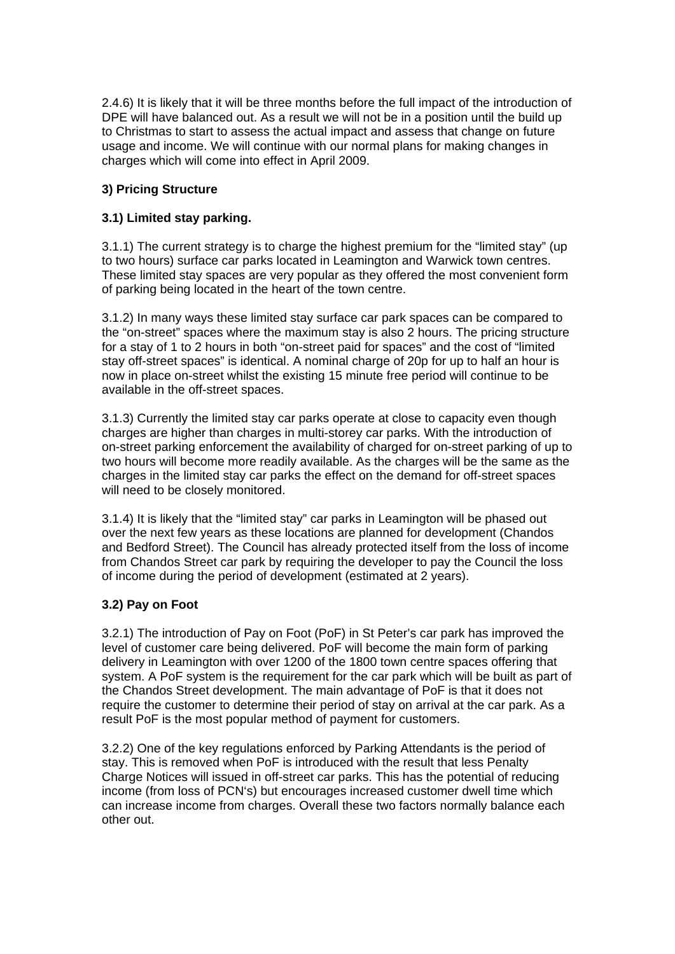2.4.6) It is likely that it will be three months before the full impact of the introduction of DPE will have balanced out. As a result we will not be in a position until the build up to Christmas to start to assess the actual impact and assess that change on future usage and income. We will continue with our normal plans for making changes in charges which will come into effect in April 2009.

## **3) Pricing Structure**

## **3.1) Limited stay parking.**

3.1.1) The current strategy is to charge the highest premium for the "limited stay" (up to two hours) surface car parks located in Leamington and Warwick town centres. These limited stay spaces are very popular as they offered the most convenient form of parking being located in the heart of the town centre.

3.1.2) In many ways these limited stay surface car park spaces can be compared to the "on-street" spaces where the maximum stay is also 2 hours. The pricing structure for a stay of 1 to 2 hours in both "on-street paid for spaces" and the cost of "limited stay off-street spaces" is identical. A nominal charge of 20p for up to half an hour is now in place on-street whilst the existing 15 minute free period will continue to be available in the off-street spaces.

3.1.3) Currently the limited stay car parks operate at close to capacity even though charges are higher than charges in multi-storey car parks. With the introduction of on-street parking enforcement the availability of charged for on-street parking of up to two hours will become more readily available. As the charges will be the same as the charges in the limited stay car parks the effect on the demand for off-street spaces will need to be closely monitored.

3.1.4) It is likely that the "limited stay" car parks in Leamington will be phased out over the next few years as these locations are planned for development (Chandos and Bedford Street). The Council has already protected itself from the loss of income from Chandos Street car park by requiring the developer to pay the Council the loss of income during the period of development (estimated at 2 years).

## **3.2) Pay on Foot**

3.2.1) The introduction of Pay on Foot (PoF) in St Peter's car park has improved the level of customer care being delivered. PoF will become the main form of parking delivery in Leamington with over 1200 of the 1800 town centre spaces offering that system. A PoF system is the requirement for the car park which will be built as part of the Chandos Street development. The main advantage of PoF is that it does not require the customer to determine their period of stay on arrival at the car park. As a result PoF is the most popular method of payment for customers.

3.2.2) One of the key regulations enforced by Parking Attendants is the period of stay. This is removed when PoF is introduced with the result that less Penalty Charge Notices will issued in off-street car parks. This has the potential of reducing income (from loss of PCN's) but encourages increased customer dwell time which can increase income from charges. Overall these two factors normally balance each other out.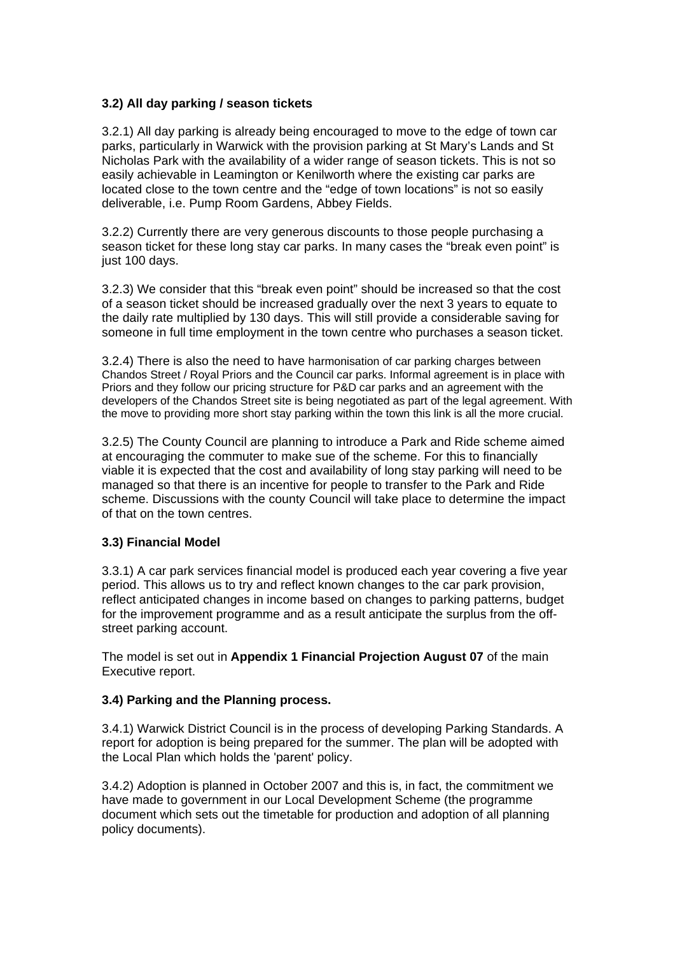### **3.2) All day parking / season tickets**

3.2.1) All day parking is already being encouraged to move to the edge of town car parks, particularly in Warwick with the provision parking at St Mary's Lands and St Nicholas Park with the availability of a wider range of season tickets. This is not so easily achievable in Leamington or Kenilworth where the existing car parks are located close to the town centre and the "edge of town locations" is not so easily deliverable, i.e. Pump Room Gardens, Abbey Fields.

3.2.2) Currently there are very generous discounts to those people purchasing a season ticket for these long stay car parks. In many cases the "break even point" is just 100 days.

3.2.3) We consider that this "break even point" should be increased so that the cost of a season ticket should be increased gradually over the next 3 years to equate to the daily rate multiplied by 130 days. This will still provide a considerable saving for someone in full time employment in the town centre who purchases a season ticket.

3.2.4) There is also the need to have harmonisation of car parking charges between Chandos Street / Royal Priors and the Council car parks. Informal agreement is in place with Priors and they follow our pricing structure for P&D car parks and an agreement with the developers of the Chandos Street site is being negotiated as part of the legal agreement. With the move to providing more short stay parking within the town this link is all the more crucial.

3.2.5) The County Council are planning to introduce a Park and Ride scheme aimed at encouraging the commuter to make sue of the scheme. For this to financially viable it is expected that the cost and availability of long stay parking will need to be managed so that there is an incentive for people to transfer to the Park and Ride scheme. Discussions with the county Council will take place to determine the impact of that on the town centres.

### **3.3) Financial Model**

3.3.1) A car park services financial model is produced each year covering a five year period. This allows us to try and reflect known changes to the car park provision, reflect anticipated changes in income based on changes to parking patterns, budget for the improvement programme and as a result anticipate the surplus from the offstreet parking account.

The model is set out in **Appendix 1 Financial Projection August 07** of the main Executive report.

### **3.4) Parking and the Planning process.**

3.4.1) Warwick District Council is in the process of developing Parking Standards. A report for adoption is being prepared for the summer. The plan will be adopted with the Local Plan which holds the 'parent' policy.

3.4.2) Adoption is planned in October 2007 and this is, in fact, the commitment we have made to government in our Local Development Scheme (the programme document which sets out the timetable for production and adoption of all planning policy documents).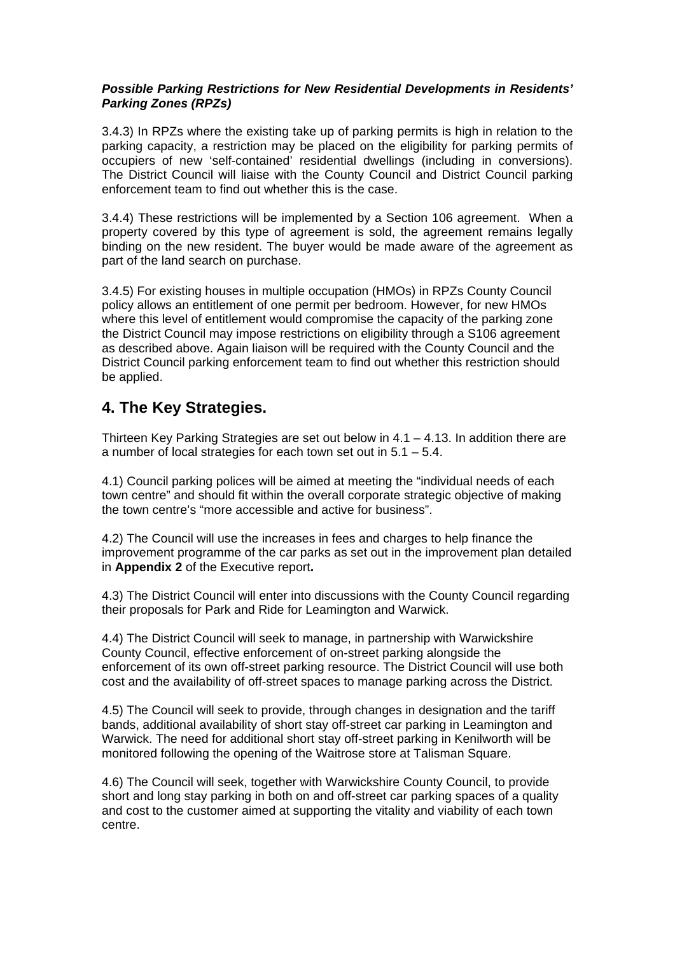### *Possible Parking Restrictions for New Residential Developments in Residents' Parking Zones (RPZs)*

3.4.3) In RPZs where the existing take up of parking permits is high in relation to the parking capacity, a restriction may be placed on the eligibility for parking permits of occupiers of new 'self-contained' residential dwellings (including in conversions). The District Council will liaise with the County Council and District Council parking enforcement team to find out whether this is the case.

3.4.4) These restrictions will be implemented by a Section 106 agreement. When a property covered by this type of agreement is sold, the agreement remains legally binding on the new resident. The buyer would be made aware of the agreement as part of the land search on purchase.

3.4.5) For existing houses in multiple occupation (HMOs) in RPZs County Council policy allows an entitlement of one permit per bedroom. However, for new HMOs where this level of entitlement would compromise the capacity of the parking zone the District Council may impose restrictions on eligibility through a S106 agreement as described above. Again liaison will be required with the County Council and the District Council parking enforcement team to find out whether this restriction should be applied.

# **4. The Key Strategies.**

Thirteen Key Parking Strategies are set out below in  $4.1 - 4.13$ . In addition there are a number of local strategies for each town set out in 5.1 – 5.4.

4.1) Council parking polices will be aimed at meeting the "individual needs of each town centre" and should fit within the overall corporate strategic objective of making the town centre's "more accessible and active for business".

4.2) The Council will use the increases in fees and charges to help finance the improvement programme of the car parks as set out in the improvement plan detailed in **Appendix 2** of the Executive report**.**

4.3) The District Council will enter into discussions with the County Council regarding their proposals for Park and Ride for Leamington and Warwick.

4.4) The District Council will seek to manage, in partnership with Warwickshire County Council, effective enforcement of on-street parking alongside the enforcement of its own off-street parking resource. The District Council will use both cost and the availability of off-street spaces to manage parking across the District.

4.5) The Council will seek to provide, through changes in designation and the tariff bands, additional availability of short stay off-street car parking in Leamington and Warwick. The need for additional short stay off-street parking in Kenilworth will be monitored following the opening of the Waitrose store at Talisman Square.

4.6) The Council will seek, together with Warwickshire County Council, to provide short and long stay parking in both on and off-street car parking spaces of a quality and cost to the customer aimed at supporting the vitality and viability of each town centre.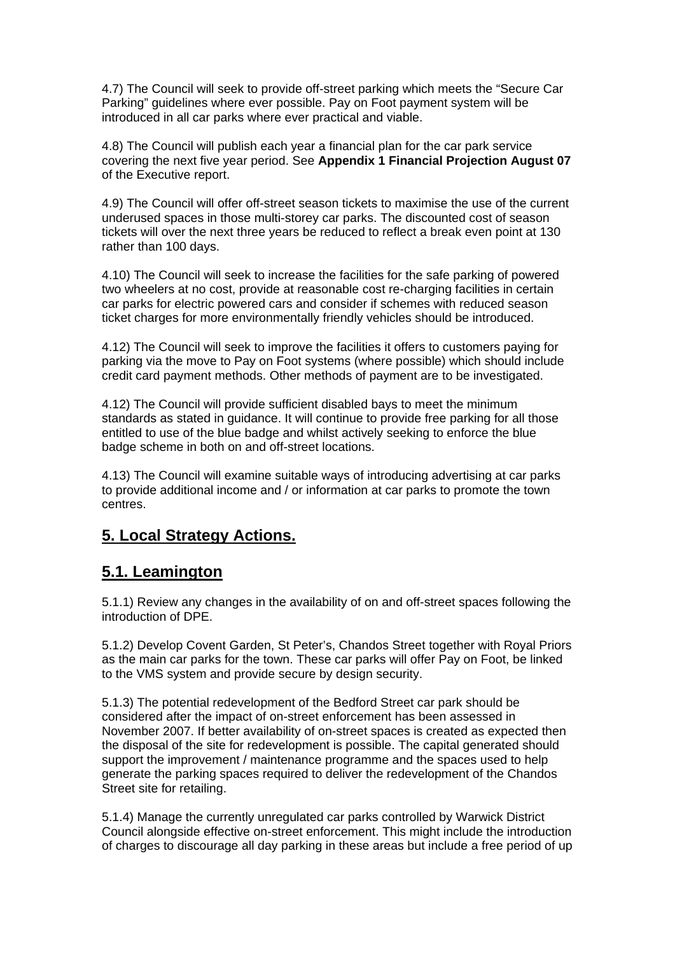4.7) The Council will seek to provide off-street parking which meets the "Secure Car Parking" guidelines where ever possible. Pay on Foot payment system will be introduced in all car parks where ever practical and viable.

4.8) The Council will publish each year a financial plan for the car park service covering the next five year period. See **Appendix 1 Financial Projection August 07**  of the Executive report.

4.9) The Council will offer off-street season tickets to maximise the use of the current underused spaces in those multi-storey car parks. The discounted cost of season tickets will over the next three years be reduced to reflect a break even point at 130 rather than 100 days.

4.10) The Council will seek to increase the facilities for the safe parking of powered two wheelers at no cost, provide at reasonable cost re-charging facilities in certain car parks for electric powered cars and consider if schemes with reduced season ticket charges for more environmentally friendly vehicles should be introduced.

4.12) The Council will seek to improve the facilities it offers to customers paying for parking via the move to Pay on Foot systems (where possible) which should include credit card payment methods. Other methods of payment are to be investigated.

4.12) The Council will provide sufficient disabled bays to meet the minimum standards as stated in guidance. It will continue to provide free parking for all those entitled to use of the blue badge and whilst actively seeking to enforce the blue badge scheme in both on and off-street locations.

4.13) The Council will examine suitable ways of introducing advertising at car parks to provide additional income and / or information at car parks to promote the town centres.

# **5. Local Strategy Actions.**

## **5.1. Leamington**

5.1.1) Review any changes in the availability of on and off-street spaces following the introduction of DPE.

5.1.2) Develop Covent Garden, St Peter's, Chandos Street together with Royal Priors as the main car parks for the town. These car parks will offer Pay on Foot, be linked to the VMS system and provide secure by design security.

5.1.3) The potential redevelopment of the Bedford Street car park should be considered after the impact of on-street enforcement has been assessed in November 2007. If better availability of on-street spaces is created as expected then the disposal of the site for redevelopment is possible. The capital generated should support the improvement / maintenance programme and the spaces used to help generate the parking spaces required to deliver the redevelopment of the Chandos Street site for retailing.

5.1.4) Manage the currently unregulated car parks controlled by Warwick District Council alongside effective on-street enforcement. This might include the introduction of charges to discourage all day parking in these areas but include a free period of up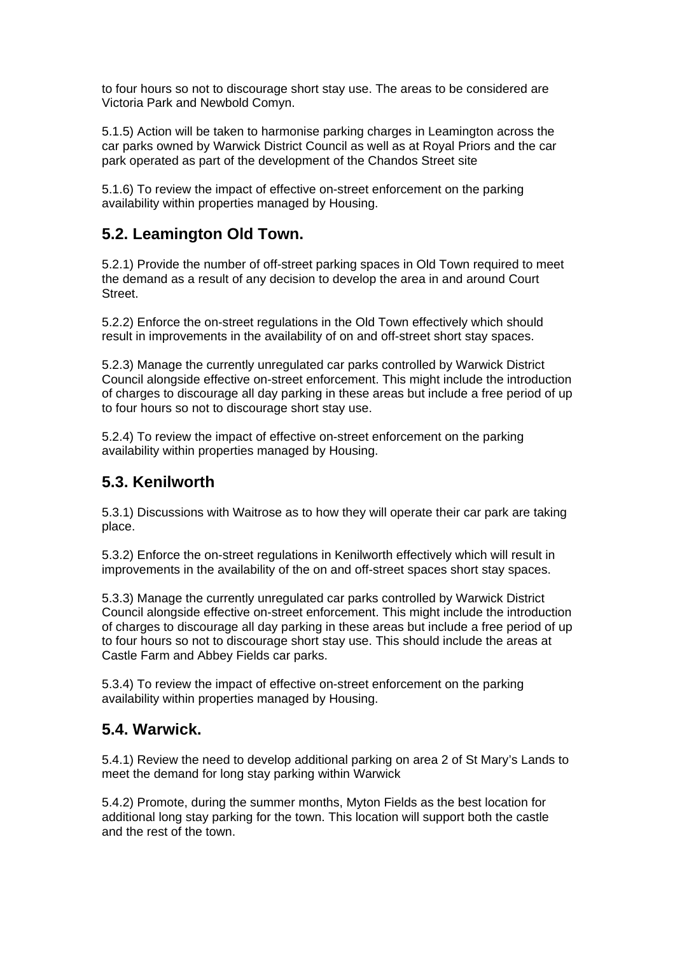to four hours so not to discourage short stay use. The areas to be considered are Victoria Park and Newbold Comyn.

5.1.5) Action will be taken to harmonise parking charges in Leamington across the car parks owned by Warwick District Council as well as at Royal Priors and the car park operated as part of the development of the Chandos Street site

5.1.6) To review the impact of effective on-street enforcement on the parking availability within properties managed by Housing.

## **5.2. Leamington Old Town.**

5.2.1) Provide the number of off-street parking spaces in Old Town required to meet the demand as a result of any decision to develop the area in and around Court Street.

5.2.2) Enforce the on-street regulations in the Old Town effectively which should result in improvements in the availability of on and off-street short stay spaces.

5.2.3) Manage the currently unregulated car parks controlled by Warwick District Council alongside effective on-street enforcement. This might include the introduction of charges to discourage all day parking in these areas but include a free period of up to four hours so not to discourage short stay use.

5.2.4) To review the impact of effective on-street enforcement on the parking availability within properties managed by Housing.

# **5.3. Kenilworth**

5.3.1) Discussions with Waitrose as to how they will operate their car park are taking place.

5.3.2) Enforce the on-street regulations in Kenilworth effectively which will result in improvements in the availability of the on and off-street spaces short stay spaces.

5.3.3) Manage the currently unregulated car parks controlled by Warwick District Council alongside effective on-street enforcement. This might include the introduction of charges to discourage all day parking in these areas but include a free period of up to four hours so not to discourage short stay use. This should include the areas at Castle Farm and Abbey Fields car parks.

5.3.4) To review the impact of effective on-street enforcement on the parking availability within properties managed by Housing.

## **5.4. Warwick.**

5.4.1) Review the need to develop additional parking on area 2 of St Mary's Lands to meet the demand for long stay parking within Warwick

5.4.2) Promote, during the summer months, Myton Fields as the best location for additional long stay parking for the town. This location will support both the castle and the rest of the town.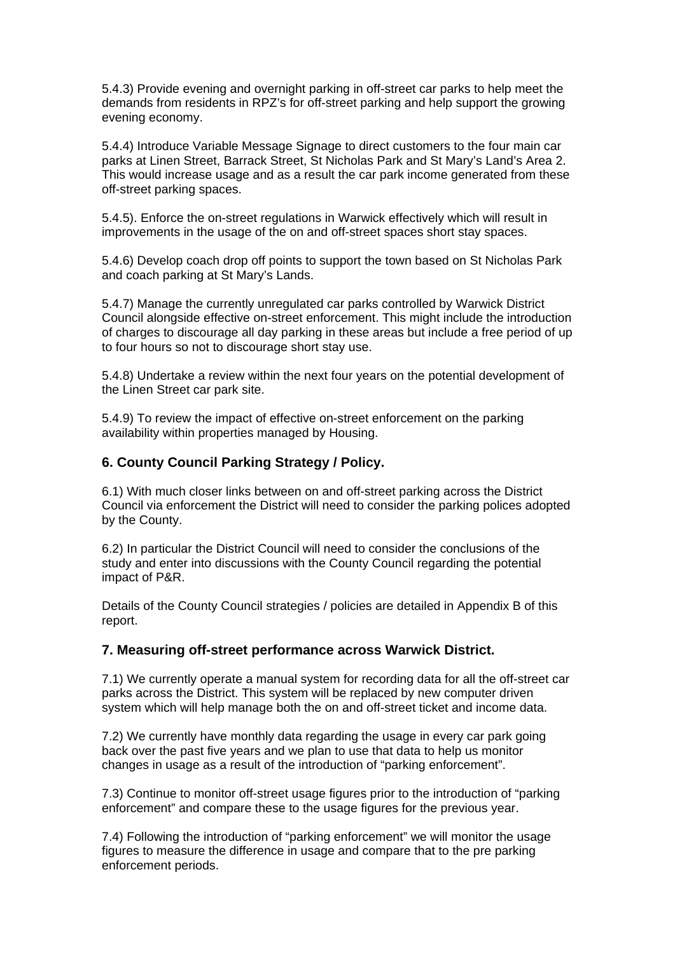5.4.3) Provide evening and overnight parking in off-street car parks to help meet the demands from residents in RPZ's for off-street parking and help support the growing evening economy.

5.4.4) Introduce Variable Message Signage to direct customers to the four main car parks at Linen Street, Barrack Street, St Nicholas Park and St Mary's Land's Area 2. This would increase usage and as a result the car park income generated from these off-street parking spaces.

5.4.5). Enforce the on-street regulations in Warwick effectively which will result in improvements in the usage of the on and off-street spaces short stay spaces.

5.4.6) Develop coach drop off points to support the town based on St Nicholas Park and coach parking at St Mary's Lands.

5.4.7) Manage the currently unregulated car parks controlled by Warwick District Council alongside effective on-street enforcement. This might include the introduction of charges to discourage all day parking in these areas but include a free period of up to four hours so not to discourage short stay use.

5.4.8) Undertake a review within the next four years on the potential development of the Linen Street car park site.

5.4.9) To review the impact of effective on-street enforcement on the parking availability within properties managed by Housing.

### **6. County Council Parking Strategy / Policy.**

6.1) With much closer links between on and off-street parking across the District Council via enforcement the District will need to consider the parking polices adopted by the County.

6.2) In particular the District Council will need to consider the conclusions of the study and enter into discussions with the County Council regarding the potential impact of P&R.

Details of the County Council strategies / policies are detailed in Appendix B of this report.

#### **7. Measuring off-street performance across Warwick District.**

7.1) We currently operate a manual system for recording data for all the off-street car parks across the District. This system will be replaced by new computer driven system which will help manage both the on and off-street ticket and income data.

7.2) We currently have monthly data regarding the usage in every car park going back over the past five years and we plan to use that data to help us monitor changes in usage as a result of the introduction of "parking enforcement".

7.3) Continue to monitor off-street usage figures prior to the introduction of "parking enforcement" and compare these to the usage figures for the previous year.

7.4) Following the introduction of "parking enforcement" we will monitor the usage figures to measure the difference in usage and compare that to the pre parking enforcement periods.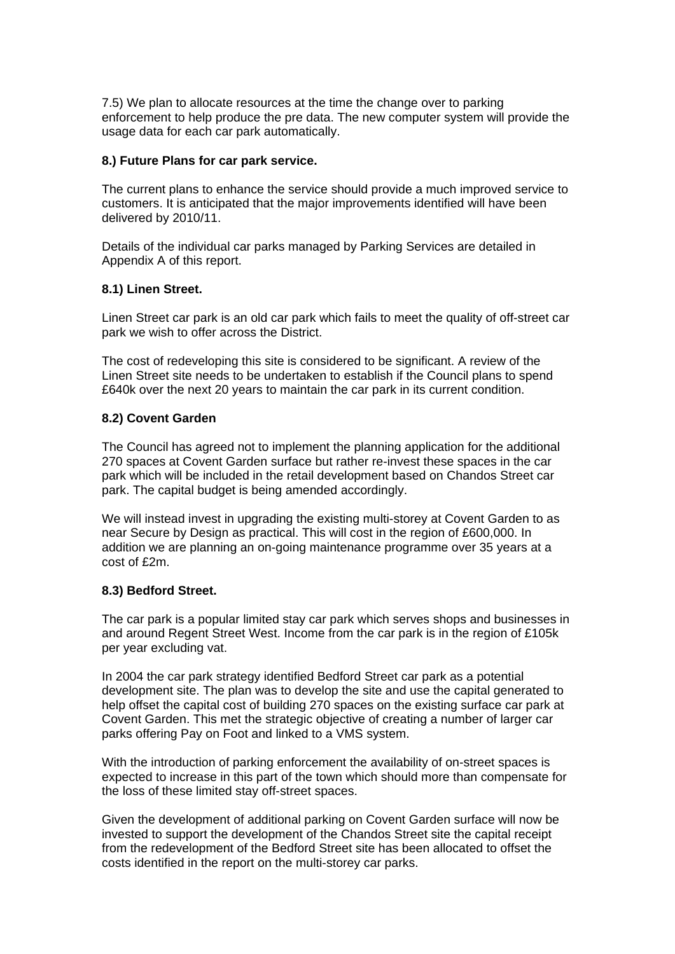7.5) We plan to allocate resources at the time the change over to parking enforcement to help produce the pre data. The new computer system will provide the usage data for each car park automatically.

#### **8.) Future Plans for car park service.**

The current plans to enhance the service should provide a much improved service to customers. It is anticipated that the major improvements identified will have been delivered by 2010/11.

Details of the individual car parks managed by Parking Services are detailed in Appendix A of this report.

### **8.1) Linen Street.**

Linen Street car park is an old car park which fails to meet the quality of off-street car park we wish to offer across the District.

The cost of redeveloping this site is considered to be significant. A review of the Linen Street site needs to be undertaken to establish if the Council plans to spend £640k over the next 20 years to maintain the car park in its current condition.

#### **8.2) Covent Garden**

The Council has agreed not to implement the planning application for the additional 270 spaces at Covent Garden surface but rather re-invest these spaces in the car park which will be included in the retail development based on Chandos Street car park. The capital budget is being amended accordingly.

We will instead invest in upgrading the existing multi-storey at Covent Garden to as near Secure by Design as practical. This will cost in the region of £600,000. In addition we are planning an on-going maintenance programme over 35 years at a cost of £2m.

#### **8.3) Bedford Street.**

The car park is a popular limited stay car park which serves shops and businesses in and around Regent Street West. Income from the car park is in the region of £105k per year excluding vat.

In 2004 the car park strategy identified Bedford Street car park as a potential development site. The plan was to develop the site and use the capital generated to help offset the capital cost of building 270 spaces on the existing surface car park at Covent Garden. This met the strategic objective of creating a number of larger car parks offering Pay on Foot and linked to a VMS system.

With the introduction of parking enforcement the availability of on-street spaces is expected to increase in this part of the town which should more than compensate for the loss of these limited stay off-street spaces.

Given the development of additional parking on Covent Garden surface will now be invested to support the development of the Chandos Street site the capital receipt from the redevelopment of the Bedford Street site has been allocated to offset the costs identified in the report on the multi-storey car parks.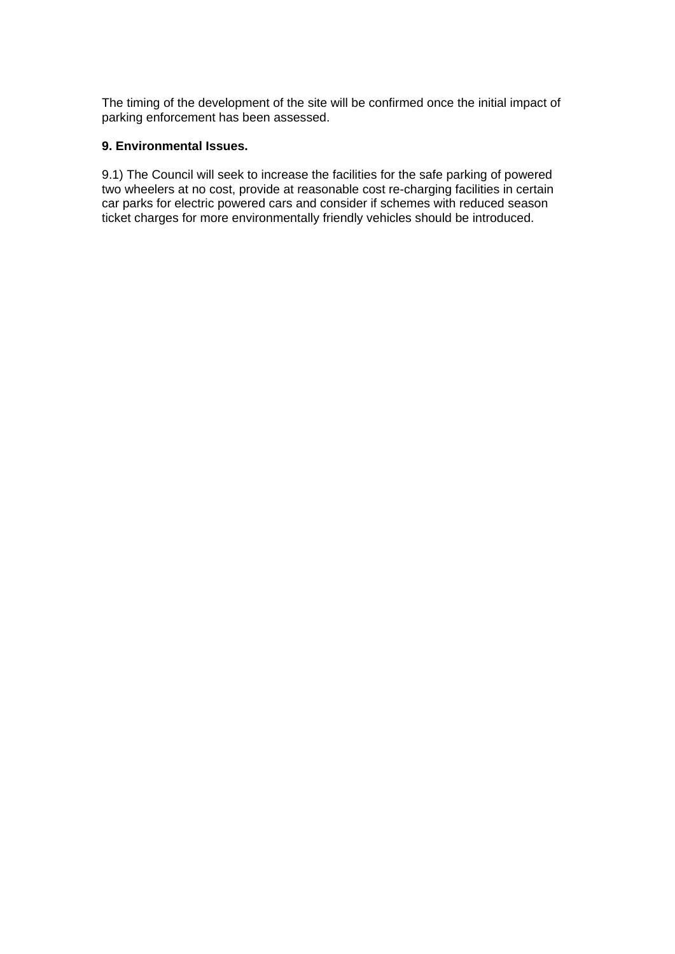The timing of the development of the site will be confirmed once the initial impact of parking enforcement has been assessed.

## **9. Environmental Issues.**

9.1) The Council will seek to increase the facilities for the safe parking of powered two wheelers at no cost, provide at reasonable cost re-charging facilities in certain car parks for electric powered cars and consider if schemes with reduced season ticket charges for more environmentally friendly vehicles should be introduced.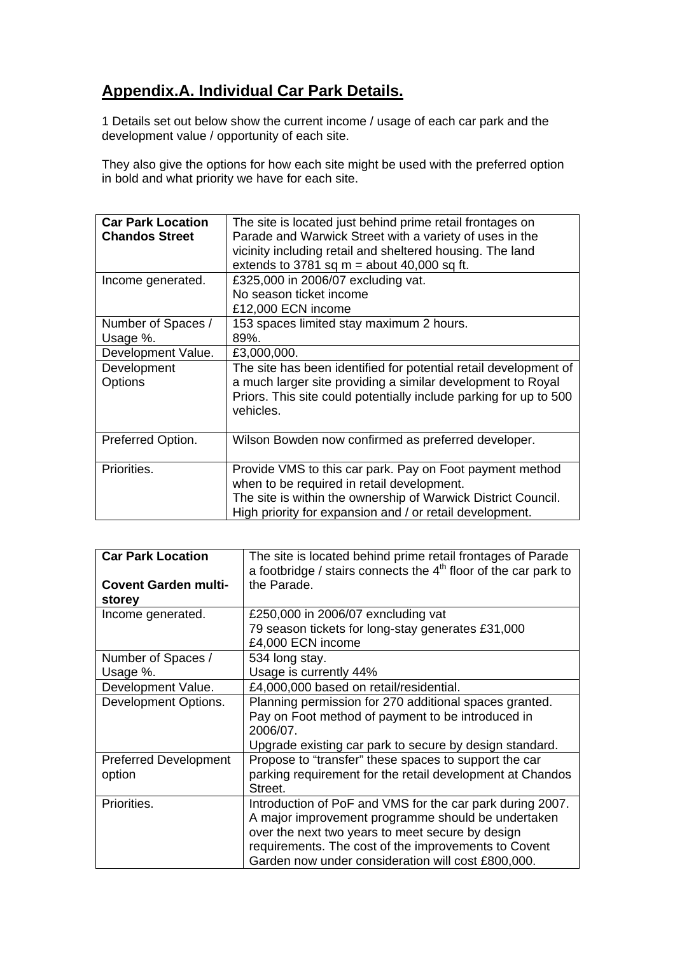# **Appendix.A. Individual Car Park Details.**

1 Details set out below show the current income / usage of each car park and the development value / opportunity of each site.

They also give the options for how each site might be used with the preferred option in bold and what priority we have for each site.

| <b>Car Park Location</b><br><b>Chandos Street</b> | The site is located just behind prime retail frontages on<br>Parade and Warwick Street with a variety of uses in the<br>vicinity including retail and sheltered housing. The land<br>extends to 3781 sq $m =$ about 40,000 sq ft.   |
|---------------------------------------------------|-------------------------------------------------------------------------------------------------------------------------------------------------------------------------------------------------------------------------------------|
| Income generated.                                 | £325,000 in 2006/07 excluding vat.<br>No season ticket income<br>£12,000 ECN income                                                                                                                                                 |
| Number of Spaces /<br>Usage %.                    | 153 spaces limited stay maximum 2 hours.<br>89%.                                                                                                                                                                                    |
| Development Value.                                | £3,000,000.                                                                                                                                                                                                                         |
| Development<br><b>Options</b>                     | The site has been identified for potential retail development of<br>a much larger site providing a similar development to Royal<br>Priors. This site could potentially include parking for up to 500<br>vehicles.                   |
| Preferred Option.                                 | Wilson Bowden now confirmed as preferred developer.                                                                                                                                                                                 |
| Priorities.                                       | Provide VMS to this car park. Pay on Foot payment method<br>when to be required in retail development.<br>The site is within the ownership of Warwick District Council.<br>High priority for expansion and / or retail development. |

| <b>Car Park Location</b>     | The site is located behind prime retail frontages of Parade<br>a footbridge / stairs connects the $4th$ floor of the car park to |
|------------------------------|----------------------------------------------------------------------------------------------------------------------------------|
| <b>Covent Garden multi-</b>  | the Parade.                                                                                                                      |
| storey                       |                                                                                                                                  |
| Income generated.            | £250,000 in 2006/07 exncluding vat                                                                                               |
|                              | 79 season tickets for long-stay generates £31,000                                                                                |
|                              | £4,000 ECN income                                                                                                                |
| Number of Spaces /           | 534 long stay.                                                                                                                   |
| Usage %.                     | Usage is currently 44%                                                                                                           |
| Development Value.           | £4,000,000 based on retail/residential.                                                                                          |
| Development Options.         | Planning permission for 270 additional spaces granted.                                                                           |
|                              | Pay on Foot method of payment to be introduced in                                                                                |
|                              | 2006/07.                                                                                                                         |
|                              | Upgrade existing car park to secure by design standard.                                                                          |
| <b>Preferred Development</b> | Propose to "transfer" these spaces to support the car                                                                            |
| option                       | parking requirement for the retail development at Chandos                                                                        |
|                              | Street.                                                                                                                          |
| Priorities.                  | Introduction of PoF and VMS for the car park during 2007.                                                                        |
|                              | A major improvement programme should be undertaken                                                                               |
|                              | over the next two years to meet secure by design                                                                                 |
|                              | requirements. The cost of the improvements to Covent                                                                             |
|                              | Garden now under consideration will cost £800,000.                                                                               |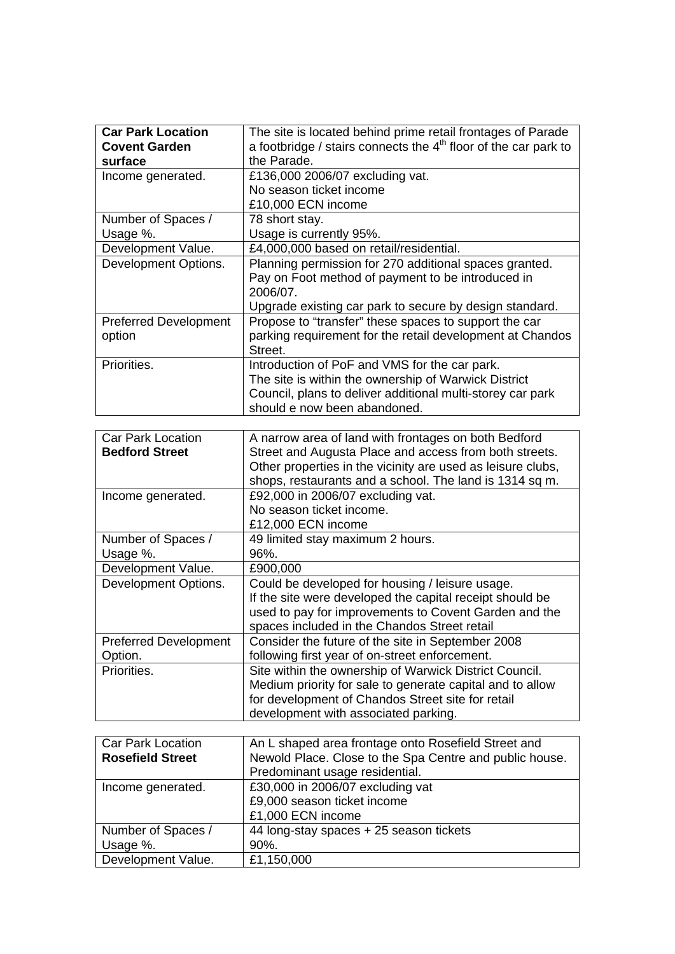| <b>Car Park Location</b>     | The site is located behind prime retail frontages of Parade                 |
|------------------------------|-----------------------------------------------------------------------------|
| <b>Covent Garden</b>         | a footbridge / stairs connects the 4 <sup>th</sup> floor of the car park to |
| surface                      | the Parade.                                                                 |
|                              | £136,000 2006/07 excluding vat.                                             |
| Income generated.            | No season ticket income                                                     |
|                              |                                                                             |
|                              | £10,000 ECN income                                                          |
| Number of Spaces /           | 78 short stay.                                                              |
| Usage %.                     | Usage is currently 95%.                                                     |
| Development Value.           | £4,000,000 based on retail/residential.                                     |
| Development Options.         | Planning permission for 270 additional spaces granted.                      |
|                              | Pay on Foot method of payment to be introduced in                           |
|                              | 2006/07.                                                                    |
|                              | Upgrade existing car park to secure by design standard.                     |
| <b>Preferred Development</b> | Propose to "transfer" these spaces to support the car                       |
| option                       | parking requirement for the retail development at Chandos                   |
|                              | Street.                                                                     |
| Priorities.                  | Introduction of PoF and VMS for the car park.                               |
|                              | The site is within the ownership of Warwick District                        |
|                              | Council, plans to deliver additional multi-storey car park                  |
|                              | should e now been abandoned.                                                |
|                              |                                                                             |
| <b>Car Park Location</b>     | A narrow area of land with frontages on both Bedford                        |
| <b>Bedford Street</b>        | Street and Augusta Place and access from both streets.                      |
|                              | Other properties in the vicinity are used as leisure clubs,                 |
|                              | shops, restaurants and a school. The land is 1314 sq m.                     |
| Income generated.            | £92,000 in 2006/07 excluding vat.                                           |
|                              | No season ticket income.                                                    |
|                              | £12,000 ECN income                                                          |
| Number of Spaces /           | 49 limited stay maximum 2 hours.                                            |
| Usage %.                     | 96%.                                                                        |
| Development Value.           | £900,000                                                                    |
| Development Options.         | Could be developed for housing / leisure usage.                             |
|                              | If the site were developed the capital receipt should be                    |
|                              | used to pay for improvements to Covent Garden and the                       |
|                              | spaces included in the Chandos Street retail                                |
| <b>Preferred Development</b> | Consider the future of the site in September 2008                           |
| Option.                      | following first year of on-street enforcement.                              |
| Priorities.                  | Site within the ownership of Warwick District Council.                      |
|                              | Medium priority for sale to generate capital and to allow                   |
|                              | for development of Chandos Street site for retail                           |
|                              | development with associated parking.                                        |
|                              |                                                                             |
| <b>Car Park Location</b>     | An L shaped area frontage onto Rosefield Street and                         |
| <b>Rosefield Street</b>      | Newold Place. Close to the Spa Centre and public house.                     |
|                              |                                                                             |
|                              | Predominant usage residential.                                              |
| Income generated.            | £30,000 in 2006/07 excluding vat                                            |
|                              | £9,000 season ticket income                                                 |

£1,000 ECN income

 $\frac{90\%}{£1,150,000}$ 

44 long-stay spaces + 25 season tickets

Number of Spaces /

Development Value. | £1,150,000

Usage %.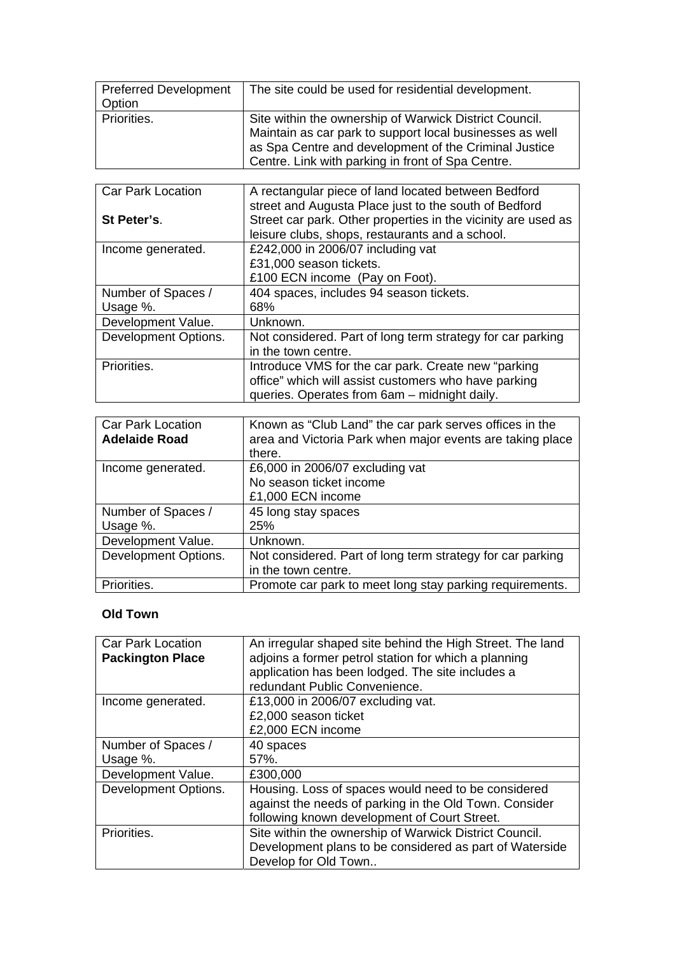| <b>Preferred Development</b><br>Option | The site could be used for residential development.                                                                                                                                                                              |
|----------------------------------------|----------------------------------------------------------------------------------------------------------------------------------------------------------------------------------------------------------------------------------|
| Priorities.                            | Site within the ownership of Warwick District Council.<br>Maintain as car park to support local businesses as well<br>as Spa Centre and development of the Criminal Justice<br>Centre. Link with parking in front of Spa Centre. |

| <b>Car Park Location</b> | A rectangular piece of land located between Bedford<br>street and Augusta Place just to the south of Bedford     |
|--------------------------|------------------------------------------------------------------------------------------------------------------|
| St Peter's.              | Street car park. Other properties in the vicinity are used as<br>leisure clubs, shops, restaurants and a school. |
| Income generated.        | £242,000 in 2006/07 including vat                                                                                |
|                          | £31,000 season tickets.                                                                                          |
|                          | £100 ECN income (Pay on Foot).                                                                                   |
| Number of Spaces /       | 404 spaces, includes 94 season tickets.                                                                          |
| Usage %.                 | 68%                                                                                                              |
| Development Value.       | Unknown.                                                                                                         |
| Development Options.     | Not considered. Part of long term strategy for car parking                                                       |
|                          | in the town centre.                                                                                              |
| Priorities.              | Introduce VMS for the car park. Create new "parking                                                              |
|                          | office" which will assist customers who have parking                                                             |
|                          | queries. Operates from 6am - midnight daily.                                                                     |

| <b>Car Park Location</b><br><b>Adelaide Road</b> | Known as "Club Land" the car park serves offices in the<br>area and Victoria Park when major events are taking place<br>there. |
|--------------------------------------------------|--------------------------------------------------------------------------------------------------------------------------------|
| Income generated.                                | £6,000 in 2006/07 excluding vat                                                                                                |
|                                                  | No season ticket income                                                                                                        |
|                                                  | £1,000 ECN income                                                                                                              |
| Number of Spaces /                               | 45 long stay spaces                                                                                                            |
| Usage %.                                         | 25%                                                                                                                            |
| Development Value.                               | Unknown.                                                                                                                       |
| Development Options.                             | Not considered. Part of long term strategy for car parking                                                                     |
|                                                  | in the town centre.                                                                                                            |
| Priorities.                                      | Promote car park to meet long stay parking requirements.                                                                       |

## **Old Town**

| <b>Car Park Location</b> | An irregular shaped site behind the High Street. The land |
|--------------------------|-----------------------------------------------------------|
| <b>Packington Place</b>  | adjoins a former petrol station for which a planning      |
|                          | application has been lodged. The site includes a          |
|                          | redundant Public Convenience.                             |
| Income generated.        | £13,000 in 2006/07 excluding vat.                         |
|                          | £2,000 season ticket                                      |
|                          | £2,000 ECN income                                         |
| Number of Spaces /       | 40 spaces                                                 |
| Usage %.                 | $57\%$ .                                                  |
| Development Value.       | £300,000                                                  |
| Development Options.     | Housing. Loss of spaces would need to be considered       |
|                          | against the needs of parking in the Old Town. Consider    |
|                          | following known development of Court Street.              |
| Priorities.              | Site within the ownership of Warwick District Council.    |
|                          | Development plans to be considered as part of Waterside   |
|                          | Develop for Old Town                                      |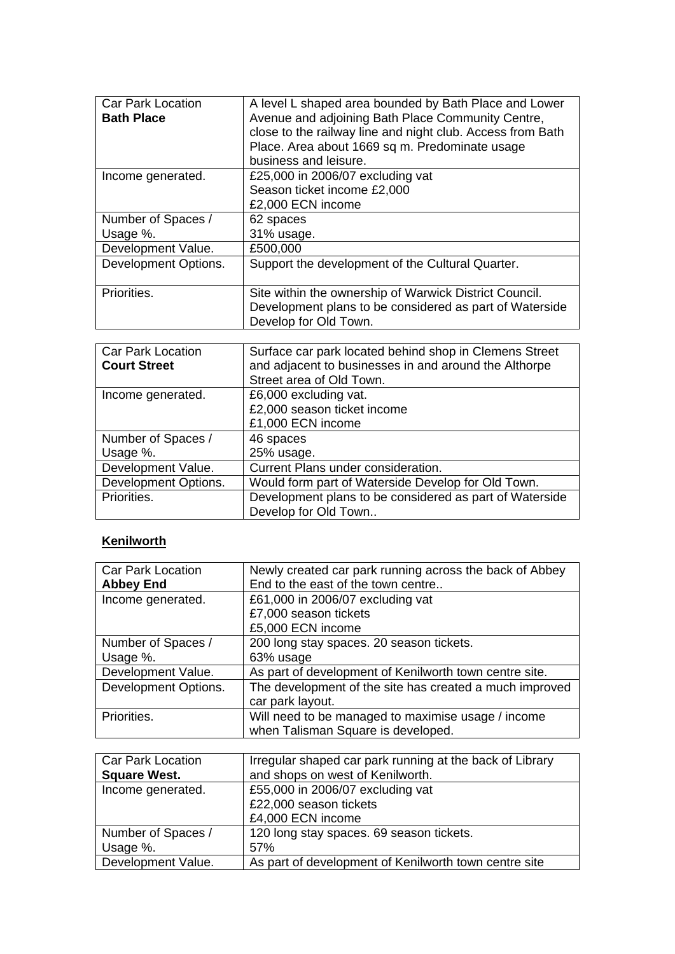| <b>Car Park Location</b><br><b>Bath Place</b> | A level L shaped area bounded by Bath Place and Lower<br>Avenue and adjoining Bath Place Community Centre,<br>close to the railway line and night club. Access from Bath<br>Place. Area about 1669 sq m. Predominate usage<br>business and leisure. |
|-----------------------------------------------|-----------------------------------------------------------------------------------------------------------------------------------------------------------------------------------------------------------------------------------------------------|
| Income generated.                             | £25,000 in 2006/07 excluding vat<br>Season ticket income £2,000<br>£2,000 ECN income                                                                                                                                                                |
| Number of Spaces /                            | 62 spaces                                                                                                                                                                                                                                           |
| Usage %.<br>Development Value.                | 31% usage.<br>£500,000                                                                                                                                                                                                                              |
| Development Options.                          | Support the development of the Cultural Quarter.                                                                                                                                                                                                    |
|                                               |                                                                                                                                                                                                                                                     |
| Priorities.                                   | Site within the ownership of Warwick District Council.<br>Development plans to be considered as part of Waterside<br>Develop for Old Town.                                                                                                          |

| <b>Car Park Location</b><br><b>Court Street</b> | Surface car park located behind shop in Clemens Street<br>and adjacent to businesses in and around the Althorpe<br>Street area of Old Town. |
|-------------------------------------------------|---------------------------------------------------------------------------------------------------------------------------------------------|
| Income generated.                               | £6,000 excluding vat.                                                                                                                       |
|                                                 | £2,000 season ticket income                                                                                                                 |
|                                                 | £1,000 ECN income                                                                                                                           |
| Number of Spaces /                              | 46 spaces                                                                                                                                   |
| Usage %.                                        | 25% usage.                                                                                                                                  |
| Development Value.                              | Current Plans under consideration.                                                                                                          |
| Development Options.                            | Would form part of Waterside Develop for Old Town.                                                                                          |
| Priorities.                                     | Development plans to be considered as part of Waterside                                                                                     |
|                                                 | Develop for Old Town                                                                                                                        |

# **Kenilworth**

| <b>Car Park Location</b> | Newly created car park running across the back of Abbey |
|--------------------------|---------------------------------------------------------|
| <b>Abbey End</b>         | End to the east of the town centre                      |
| Income generated.        | £61,000 in 2006/07 excluding vat                        |
|                          | £7,000 season tickets                                   |
|                          | £5,000 ECN income                                       |
| Number of Spaces /       | 200 long stay spaces. 20 season tickets.                |
| Usage %.                 | 63% usage                                               |
| Development Value.       | As part of development of Kenilworth town centre site.  |
| Development Options.     | The development of the site has created a much improved |
|                          | car park layout.                                        |
| Priorities.              | Will need to be managed to maximise usage / income      |
|                          | when Talisman Square is developed.                      |

| <b>Car Park Location</b> | Irregular shaped car park running at the back of Library |
|--------------------------|----------------------------------------------------------|
| <b>Square West.</b>      | and shops on west of Kenilworth.                         |
| Income generated.        | £55,000 in 2006/07 excluding vat                         |
|                          | £22,000 season tickets                                   |
|                          | £4,000 ECN income                                        |
| Number of Spaces /       | 120 long stay spaces. 69 season tickets.                 |
| Usage %.                 | 57%                                                      |
| Development Value.       | As part of development of Kenilworth town centre site    |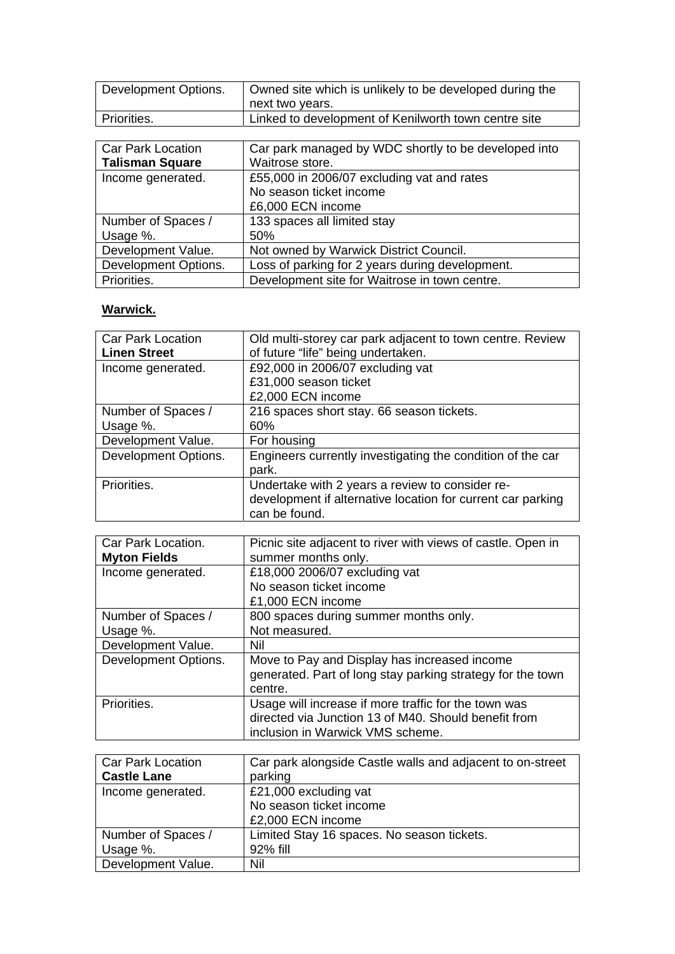| Development Options. | Owned site which is unlikely to be developed during the<br>next two years. |
|----------------------|----------------------------------------------------------------------------|
| Priorities.          | Linked to development of Kenilworth town centre site                       |

| <b>Car Park Location</b> | Car park managed by WDC shortly to be developed into |
|--------------------------|------------------------------------------------------|
| <b>Talisman Square</b>   | Waitrose store.                                      |
| Income generated.        | £55,000 in 2006/07 excluding vat and rates           |
|                          | No season ticket income                              |
|                          | £6,000 ECN income                                    |
| Number of Spaces /       | 133 spaces all limited stay                          |
| Usage %.                 | 50%                                                  |
| Development Value.       | Not owned by Warwick District Council.               |
| Development Options.     | Loss of parking for 2 years during development.      |
| Priorities.              | Development site for Waitrose in town centre.        |

# **Warwick.**

| <b>Car Park Location</b> | Old multi-storey car park adjacent to town centre. Review   |
|--------------------------|-------------------------------------------------------------|
| <b>Linen Street</b>      | of future "life" being undertaken.                          |
| Income generated.        | £92,000 in 2006/07 excluding vat                            |
|                          | £31,000 season ticket                                       |
|                          | £2,000 ECN income                                           |
| Number of Spaces /       | 216 spaces short stay. 66 season tickets.                   |
| Usage %.                 | 60%                                                         |
| Development Value.       | For housing                                                 |
| Development Options.     | Engineers currently investigating the condition of the car  |
|                          | park.                                                       |
| Priorities.              | Undertake with 2 years a review to consider re-             |
|                          | development if alternative location for current car parking |
|                          | can be found.                                               |

| Car Park Location.<br><b>Myton Fields</b> | Picnic site adjacent to river with views of castle. Open in<br>summer months only.                                                               |
|-------------------------------------------|--------------------------------------------------------------------------------------------------------------------------------------------------|
| Income generated.                         | £18,000 2006/07 excluding vat<br>No season ticket income                                                                                         |
|                                           | £1,000 ECN income                                                                                                                                |
| Number of Spaces /                        | 800 spaces during summer months only.                                                                                                            |
| Usage %.                                  | Not measured.                                                                                                                                    |
| Development Value.                        | Nil                                                                                                                                              |
| Development Options.                      | Move to Pay and Display has increased income<br>generated. Part of long stay parking strategy for the town<br>centre.                            |
| Priorities.                               | Usage will increase if more traffic for the town was<br>directed via Junction 13 of M40. Should benefit from<br>inclusion in Warwick VMS scheme. |

| <b>Car Park Location</b><br><b>Castle Lane</b> | Car park alongside Castle walls and adjacent to on-street<br>parking |
|------------------------------------------------|----------------------------------------------------------------------|
|                                                |                                                                      |
| Income generated.                              | £21,000 excluding vat                                                |
|                                                | No season ticket income                                              |
|                                                | £2,000 ECN income                                                    |
| Number of Spaces /                             | Limited Stay 16 spaces. No season tickets.                           |
| Usage %.                                       | 92% fill                                                             |
| Development Value.                             | Nil                                                                  |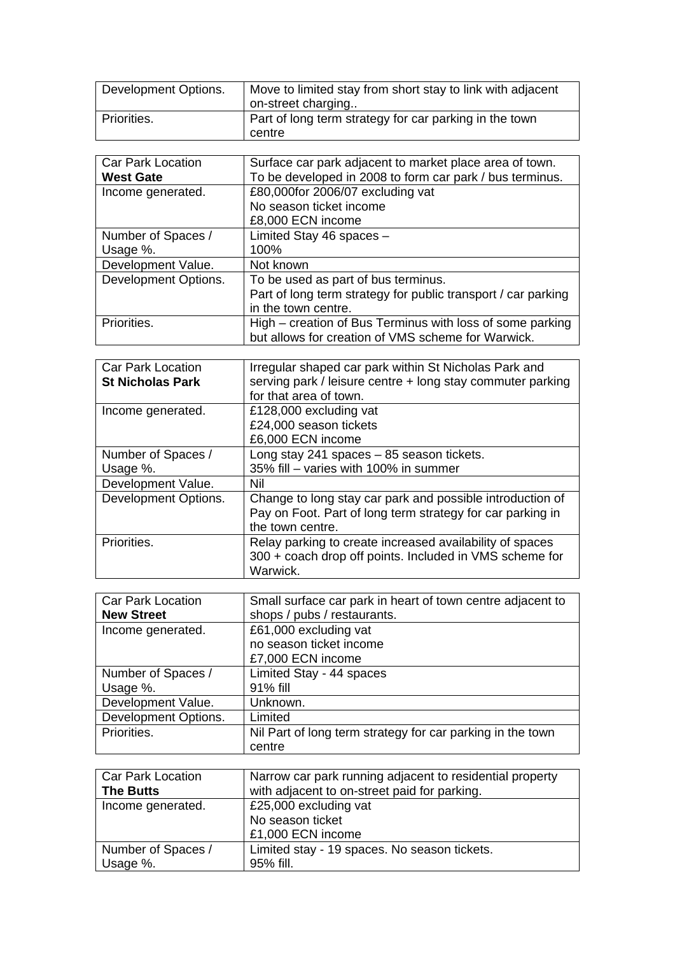| Development Options. | Move to limited stay from short stay to link with adjacent<br>on-street charging |
|----------------------|----------------------------------------------------------------------------------|
| Priorities.          | Part of long term strategy for car parking in the town<br>centre                 |

| <b>Car Park Location</b> | Surface car park adjacent to market place area of town.       |
|--------------------------|---------------------------------------------------------------|
| <b>West Gate</b>         | To be developed in 2008 to form car park / bus terminus.      |
| Income generated.        | £80,000for 2006/07 excluding vat                              |
|                          | No season ticket income                                       |
|                          | £8,000 ECN income                                             |
| Number of Spaces /       | Limited Stay 46 spaces -                                      |
| Usage %.                 | 100%                                                          |
| Development Value.       | Not known                                                     |
| Development Options.     | To be used as part of bus terminus.                           |
|                          | Part of long term strategy for public transport / car parking |
|                          | in the town centre.                                           |
| Priorities.              | High – creation of Bus Terminus with loss of some parking     |
|                          | but allows for creation of VMS scheme for Warwick.            |

| <b>Car Park Location</b><br><b>St Nicholas Park</b> | Irregular shaped car park within St Nicholas Park and<br>serving park / leisure centre + long stay commuter parking |
|-----------------------------------------------------|---------------------------------------------------------------------------------------------------------------------|
|                                                     | for that area of town.                                                                                              |
| Income generated.                                   | £128,000 excluding vat                                                                                              |
|                                                     | £24,000 season tickets                                                                                              |
|                                                     | £6,000 ECN income                                                                                                   |
| Number of Spaces /                                  | Long stay 241 spaces - 85 season tickets.                                                                           |
| Usage %.                                            | 35% fill – varies with 100% in summer                                                                               |
| Development Value.                                  | Nil                                                                                                                 |
| Development Options.                                | Change to long stay car park and possible introduction of                                                           |
|                                                     | Pay on Foot. Part of long term strategy for car parking in                                                          |
|                                                     | the town centre.                                                                                                    |
| Priorities.                                         | Relay parking to create increased availability of spaces                                                            |
|                                                     | 300 + coach drop off points. Included in VMS scheme for                                                             |
|                                                     | Warwick.                                                                                                            |

| <b>Car Park Location</b> | Small surface car park in heart of town centre adjacent to |
|--------------------------|------------------------------------------------------------|
| <b>New Street</b>        | shops / pubs / restaurants.                                |
| Income generated.        | £61,000 excluding vat                                      |
|                          | no season ticket income                                    |
|                          | £7,000 ECN income                                          |
| Number of Spaces /       | Limited Stay - 44 spaces                                   |
| Usage %.                 | 91% fill                                                   |
| Development Value.       | Unknown.                                                   |
| Development Options.     | Limited                                                    |
| Priorities.              | Nil Part of long term strategy for car parking in the town |
|                          | centre                                                     |

| <b>Car Park Location</b> | Narrow car park running adjacent to residential property |
|--------------------------|----------------------------------------------------------|
| <b>The Butts</b>         | with adjacent to on-street paid for parking.             |
| Income generated.        | £25,000 excluding vat                                    |
|                          | No season ticket                                         |
|                          | £1,000 ECN income                                        |
| Number of Spaces /       | Limited stay - 19 spaces. No season tickets.             |
| Usage %.                 | 95% fill.                                                |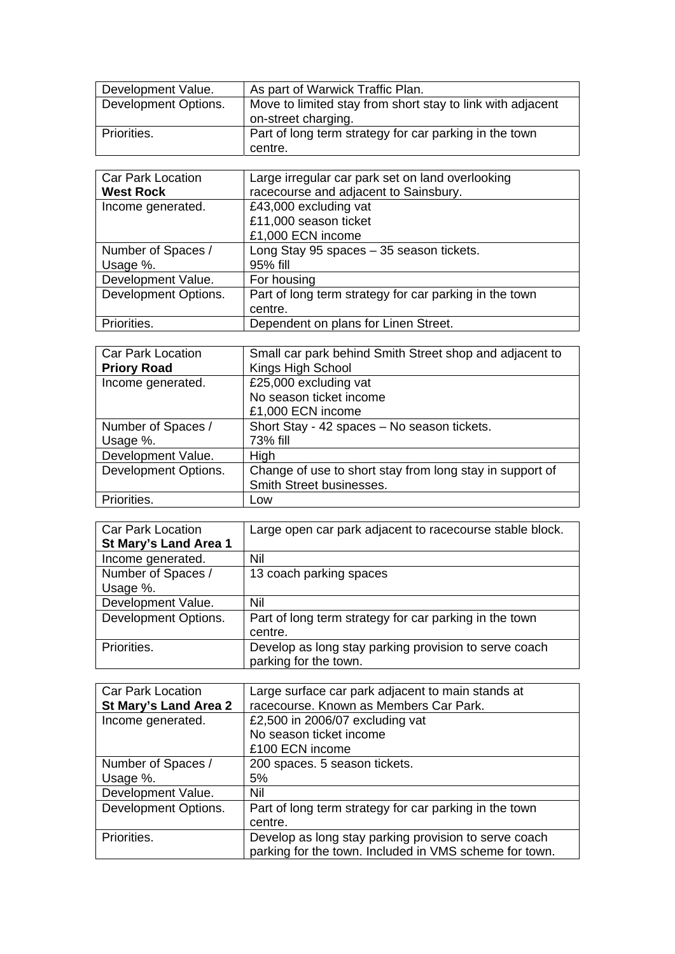| Development Value.   | As part of Warwick Traffic Plan.                                                  |
|----------------------|-----------------------------------------------------------------------------------|
| Development Options. | Move to limited stay from short stay to link with adjacent<br>on-street charging. |
| Priorities.          | Part of long term strategy for car parking in the town<br>centre.                 |

| <b>Car Park Location</b> | Large irregular car park set on land overlooking       |
|--------------------------|--------------------------------------------------------|
| <b>West Rock</b>         | racecourse and adjacent to Sainsbury.                  |
| Income generated.        | £43,000 excluding vat                                  |
|                          | £11,000 season ticket                                  |
|                          | £1,000 ECN income                                      |
| Number of Spaces /       | Long Stay 95 spaces - 35 season tickets.               |
| Usage %.                 | 95% fill                                               |
| Development Value.       | For housing                                            |
| Development Options.     | Part of long term strategy for car parking in the town |
|                          | centre.                                                |
| Priorities.              | Dependent on plans for Linen Street.                   |

| <b>Car Park Location</b> | Small car park behind Smith Street shop and adjacent to  |
|--------------------------|----------------------------------------------------------|
| <b>Priory Road</b>       | Kings High School                                        |
| Income generated.        | £25,000 excluding vat                                    |
|                          | No season ticket income                                  |
|                          | £1,000 ECN income                                        |
| Number of Spaces /       | Short Stay - 42 spaces - No season tickets.              |
| Usage %.                 | 73% fill                                                 |
| Development Value.       | High                                                     |
| Development Options.     | Change of use to short stay from long stay in support of |
|                          | Smith Street businesses.                                 |
| Priorities.              | Low                                                      |

| <b>Car Park Location</b> | Large open car park adjacent to racecourse stable block. |
|--------------------------|----------------------------------------------------------|
| St Mary's Land Area 1    |                                                          |
| Income generated.        | Nil                                                      |
| Number of Spaces /       | 13 coach parking spaces                                  |
| Usage %.                 |                                                          |
| Development Value.       | Nil                                                      |
| Development Options.     | Part of long term strategy for car parking in the town   |
|                          | centre.                                                  |
| Priorities.              | Develop as long stay parking provision to serve coach    |
|                          | parking for the town.                                    |

| <b>Car Park Location</b> | Large surface car park adjacent to main stands at      |
|--------------------------|--------------------------------------------------------|
| St Mary's Land Area 2    | racecourse. Known as Members Car Park.                 |
| Income generated.        | £2,500 in 2006/07 excluding vat                        |
|                          | No season ticket income                                |
|                          | £100 ECN income                                        |
| Number of Spaces /       | 200 spaces. 5 season tickets.                          |
| Usage %.                 | 5%                                                     |
| Development Value.       | Nil                                                    |
| Development Options.     | Part of long term strategy for car parking in the town |
|                          | centre.                                                |
| Priorities.              | Develop as long stay parking provision to serve coach  |
|                          | parking for the town. Included in VMS scheme for town. |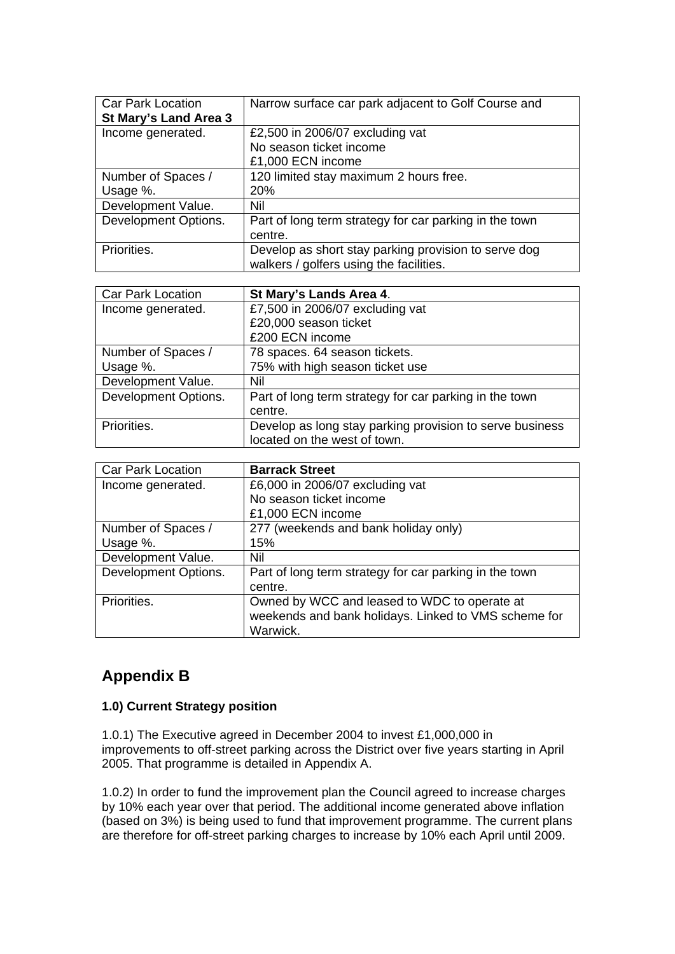| <b>Car Park Location</b> | Narrow surface car park adjacent to Golf Course and    |
|--------------------------|--------------------------------------------------------|
| St Mary's Land Area 3    |                                                        |
| Income generated.        | £2,500 in 2006/07 excluding vat                        |
|                          | No season ticket income                                |
|                          | £1,000 ECN income                                      |
| Number of Spaces /       | 120 limited stay maximum 2 hours free.                 |
| Usage %.                 | <b>20%</b>                                             |
| Development Value.       | Nil                                                    |
| Development Options.     | Part of long term strategy for car parking in the town |
|                          | centre.                                                |
| Priorities.              | Develop as short stay parking provision to serve dog   |
|                          | walkers / golfers using the facilities.                |

| <b>Car Park Location</b> | St Mary's Lands Area 4.                                  |
|--------------------------|----------------------------------------------------------|
| Income generated.        | £7,500 in 2006/07 excluding vat                          |
|                          | £20,000 season ticket                                    |
|                          | £200 ECN income                                          |
| Number of Spaces /       | 78 spaces. 64 season tickets.                            |
| Usage %.                 | 75% with high season ticket use                          |
| Development Value.       | Nil                                                      |
| Development Options.     | Part of long term strategy for car parking in the town   |
|                          | centre.                                                  |
| Priorities.              | Develop as long stay parking provision to serve business |
|                          | located on the west of town.                             |

| Car Park Location    | <b>Barrack Street</b>                                  |
|----------------------|--------------------------------------------------------|
| Income generated.    | £6,000 in 2006/07 excluding vat                        |
|                      | No season ticket income                                |
|                      | £1,000 ECN income                                      |
| Number of Spaces /   | 277 (weekends and bank holiday only)                   |
| Usage %.             | 15%                                                    |
| Development Value.   | Nil                                                    |
| Development Options. | Part of long term strategy for car parking in the town |
|                      | centre.                                                |
| Priorities.          | Owned by WCC and leased to WDC to operate at           |
|                      | weekends and bank holidays. Linked to VMS scheme for   |
|                      | Warwick.                                               |

# **Appendix B**

## **1.0) Current Strategy position**

1.0.1) The Executive agreed in December 2004 to invest £1,000,000 in improvements to off-street parking across the District over five years starting in April 2005. That programme is detailed in Appendix A.

1.0.2) In order to fund the improvement plan the Council agreed to increase charges by 10% each year over that period. The additional income generated above inflation (based on 3%) is being used to fund that improvement programme. The current plans are therefore for off-street parking charges to increase by 10% each April until 2009.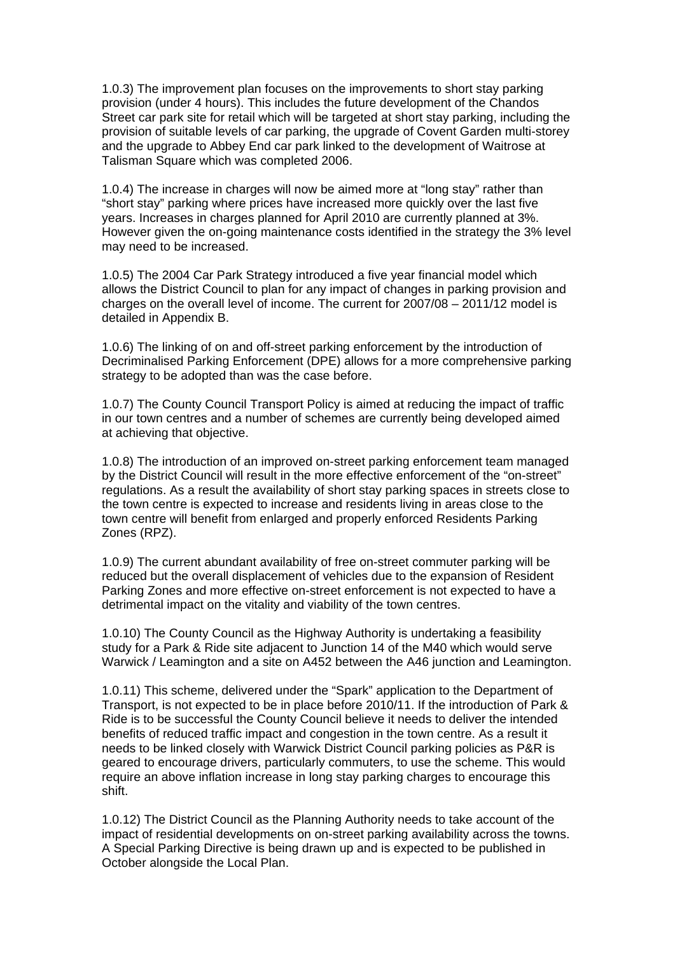1.0.3) The improvement plan focuses on the improvements to short stay parking provision (under 4 hours). This includes the future development of the Chandos Street car park site for retail which will be targeted at short stay parking, including the provision of suitable levels of car parking, the upgrade of Covent Garden multi-storey and the upgrade to Abbey End car park linked to the development of Waitrose at Talisman Square which was completed 2006.

1.0.4) The increase in charges will now be aimed more at "long stay" rather than "short stay" parking where prices have increased more quickly over the last five years. Increases in charges planned for April 2010 are currently planned at 3%. However given the on-going maintenance costs identified in the strategy the 3% level may need to be increased.

1.0.5) The 2004 Car Park Strategy introduced a five year financial model which allows the District Council to plan for any impact of changes in parking provision and charges on the overall level of income. The current for 2007/08 – 2011/12 model is detailed in Appendix B.

1.0.6) The linking of on and off-street parking enforcement by the introduction of Decriminalised Parking Enforcement (DPE) allows for a more comprehensive parking strategy to be adopted than was the case before.

1.0.7) The County Council Transport Policy is aimed at reducing the impact of traffic in our town centres and a number of schemes are currently being developed aimed at achieving that objective.

1.0.8) The introduction of an improved on-street parking enforcement team managed by the District Council will result in the more effective enforcement of the "on-street" regulations. As a result the availability of short stay parking spaces in streets close to the town centre is expected to increase and residents living in areas close to the town centre will benefit from enlarged and properly enforced Residents Parking Zones (RPZ).

1.0.9) The current abundant availability of free on-street commuter parking will be reduced but the overall displacement of vehicles due to the expansion of Resident Parking Zones and more effective on-street enforcement is not expected to have a detrimental impact on the vitality and viability of the town centres.

1.0.10) The County Council as the Highway Authority is undertaking a feasibility study for a Park & Ride site adjacent to Junction 14 of the M40 which would serve Warwick / Leamington and a site on A452 between the A46 junction and Leamington.

1.0.11) This scheme, delivered under the "Spark" application to the Department of Transport, is not expected to be in place before 2010/11. If the introduction of Park & Ride is to be successful the County Council believe it needs to deliver the intended benefits of reduced traffic impact and congestion in the town centre. As a result it needs to be linked closely with Warwick District Council parking policies as P&R is geared to encourage drivers, particularly commuters, to use the scheme. This would require an above inflation increase in long stay parking charges to encourage this shift.

1.0.12) The District Council as the Planning Authority needs to take account of the impact of residential developments on on-street parking availability across the towns. A Special Parking Directive is being drawn up and is expected to be published in October alongside the Local Plan.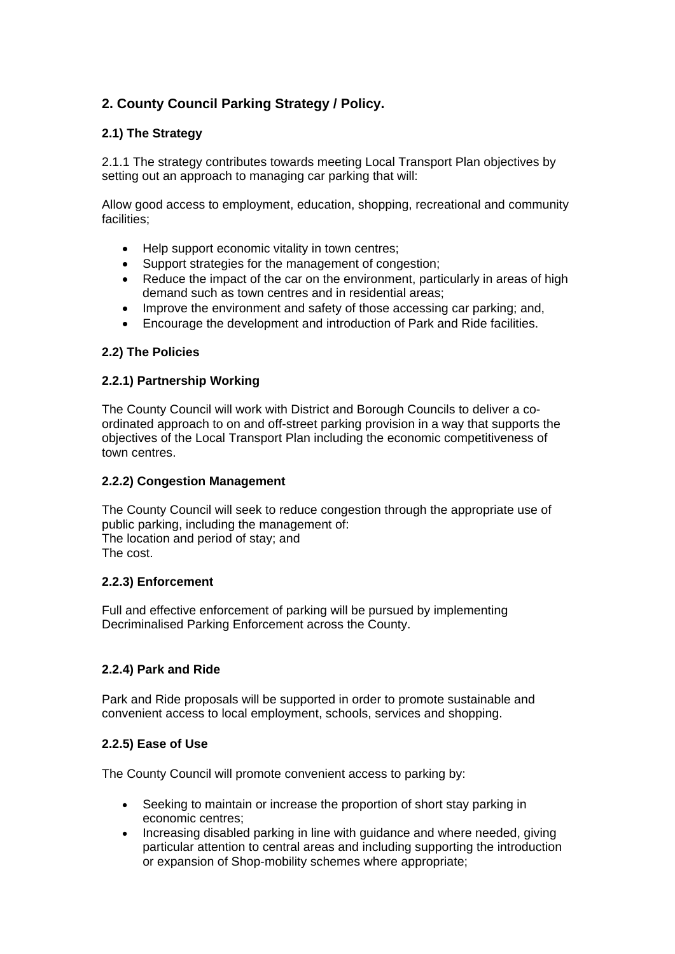## **2. County Council Parking Strategy / Policy.**

## **2.1) The Strategy**

2.1.1 The strategy contributes towards meeting Local Transport Plan objectives by setting out an approach to managing car parking that will:

Allow good access to employment, education, shopping, recreational and community facilities;

- Help support economic vitality in town centres;
- Support strategies for the management of congestion;
- Reduce the impact of the car on the environment, particularly in areas of high demand such as town centres and in residential areas;
- Improve the environment and safety of those accessing car parking; and,
- Encourage the development and introduction of Park and Ride facilities.

## **2.2) The Policies**

## **2.2.1) Partnership Working**

The County Council will work with District and Borough Councils to deliver a coordinated approach to on and off-street parking provision in a way that supports the objectives of the Local Transport Plan including the economic competitiveness of town centres.

### **2.2.2) Congestion Management**

The County Council will seek to reduce congestion through the appropriate use of public parking, including the management of: The location and period of stay; and The cost.

### **2.2.3) Enforcement**

Full and effective enforcement of parking will be pursued by implementing Decriminalised Parking Enforcement across the County.

## **2.2.4) Park and Ride**

Park and Ride proposals will be supported in order to promote sustainable and convenient access to local employment, schools, services and shopping.

## **2.2.5) Ease of Use**

The County Council will promote convenient access to parking by:

- Seeking to maintain or increase the proportion of short stay parking in economic centres;
- Increasing disabled parking in line with guidance and where needed, giving particular attention to central areas and including supporting the introduction or expansion of Shop-mobility schemes where appropriate;